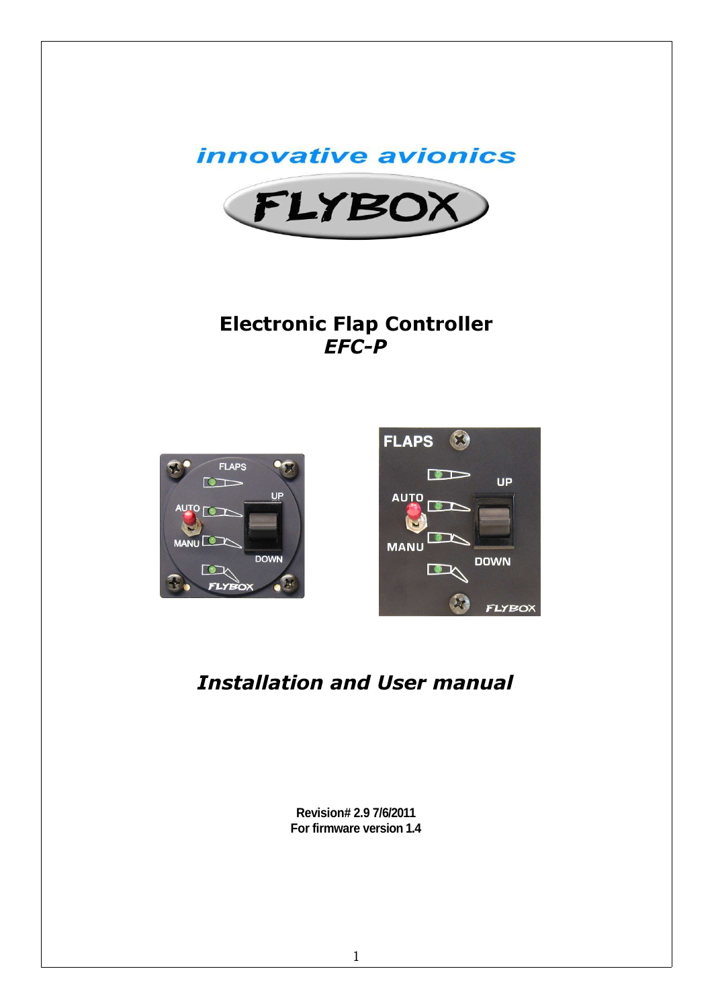



# Electronic Flap Controller EFC-P





# Installation and User manual

**Revision# 2.9 7/6/2011 For firmware version 1.4**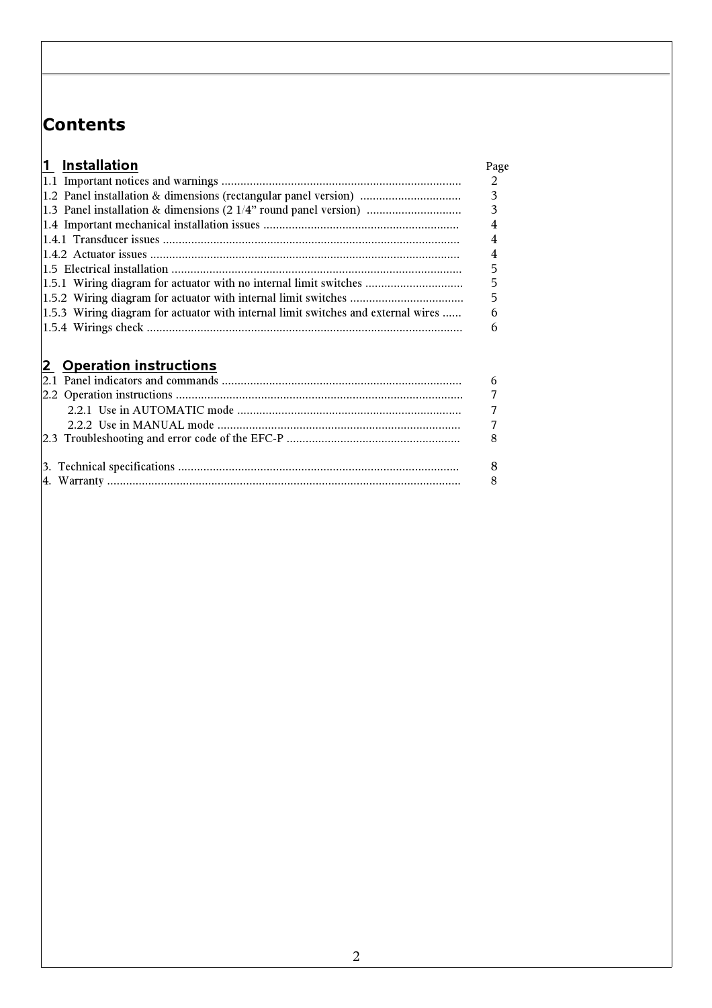# Contents

| 1 Installation                                                                                                                                    | Page                        |
|---------------------------------------------------------------------------------------------------------------------------------------------------|-----------------------------|
|                                                                                                                                                   | $\mathcal{D}_{\mathcal{L}}$ |
| 1.2 Panel installation & dimensions (rectangular panel version)                                                                                   | 3                           |
| $ 1.3 $ Panel installation & dimensions $(21/4)$ round panel version $ 1.3 $ Panel installation & dimensions $ 21/4 $ round panel version $ 1.3 $ |                             |
|                                                                                                                                                   |                             |
|                                                                                                                                                   |                             |
|                                                                                                                                                   | 4                           |
|                                                                                                                                                   |                             |
| 1.5.1 Wiring diagram for actuator with no internal limit switches                                                                                 | 5                           |
|                                                                                                                                                   | 5                           |
| 1.5.3 Wiring diagram for actuator with internal limit switches and external wires                                                                 | 6                           |
|                                                                                                                                                   | 6                           |

# 2 Operation instructions

|  | $\overline{7}$ |
|--|----------------|
|  |                |
|  |                |
|  |                |
|  |                |
|  |                |
|  |                |
|  |                |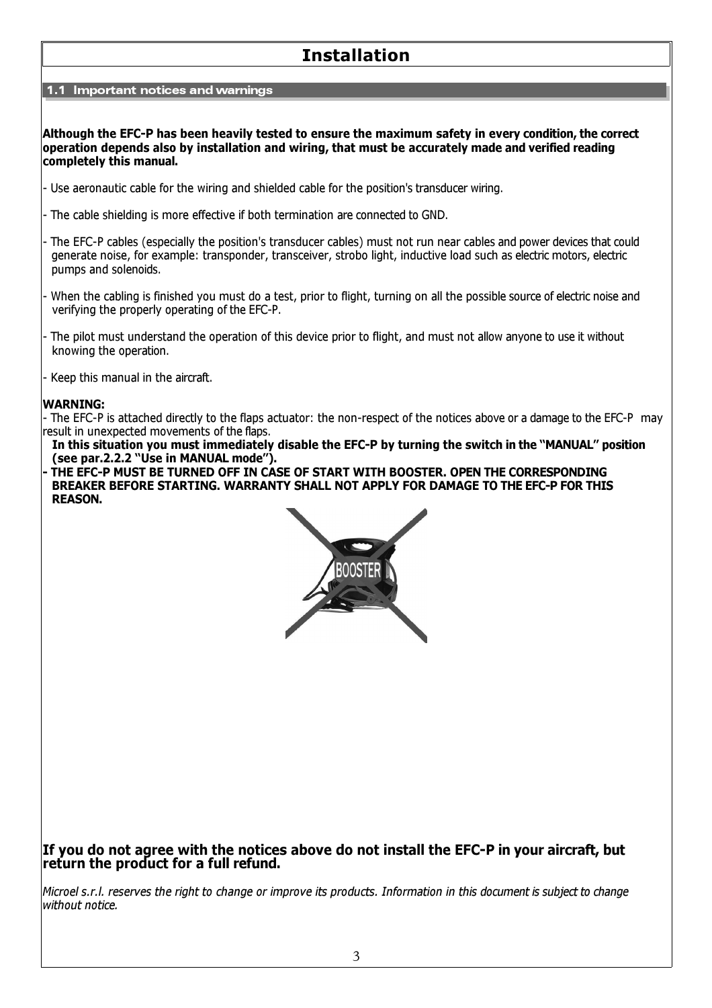# Installation

1.1 Important notices and warnings

Although the EFC-P has been heavily tested to ensure the maximum safety in every condition, the correct operation depends also by installation and wiring, that must be accurately made and verified reading completely this manual.

- Use aeronautic cable for the wiring and shielded cable for the position's transducer wiring.
- The cable shielding is more effective if both termination are connected to GND.
- The EFC-P cables (especially the position's transducer cables) must not run near cables and power devices that could generate noise, for example: transponder, transceiver, strobo light, inductive load such as electric motors, electric pumps and solenoids.
- When the cabling is finished you must do a test, prior to flight, turning on all the possible source of electric noise and verifying the properly operating of the EFC-P.
- The pilot must understand the operation of this device prior to flight, and must not allow anyone to use it without knowing the operation.
- Keep this manual in the aircraft.

#### WARNING:

- The EFC-P is attached directly to the flaps actuator: the non-respect of the notices above or a damage to the EFC-P may result in unexpected movements of the flaps.

In this situation you must immediately disable the EFC-P by turning the switch in the "MANUAL" position (see par.2.2.2 "Use in MANUAL mode").

THE EFC-P MUST BE TURNED OFF IN CASE OF START WITH BOOSTER. OPEN THE CORRESPONDING BREAKER BEFORE STARTING. WARRANTY SHALL NOT APPLY FOR DAMAGE TO THE EFC-P FOR THIS REASON.



## If you do not agree with the notices above do not install the EFC-P in your aircraft, but return the product for a full refund.

Microel s.r.l. reserves the right to change or improve its products. Information in this document is subject to change without notice.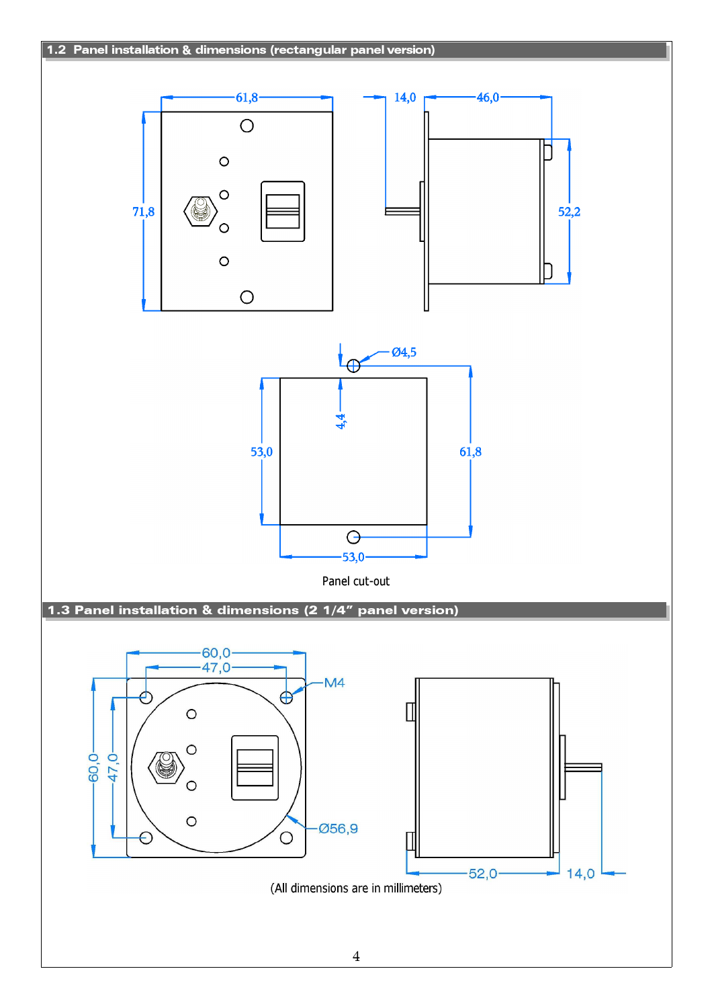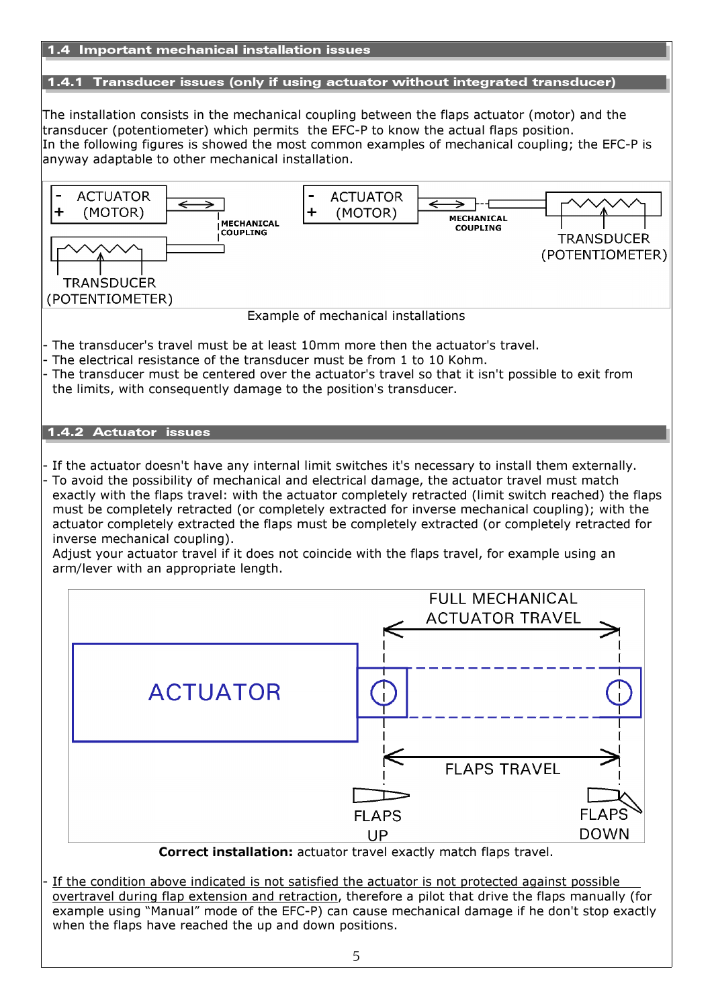

5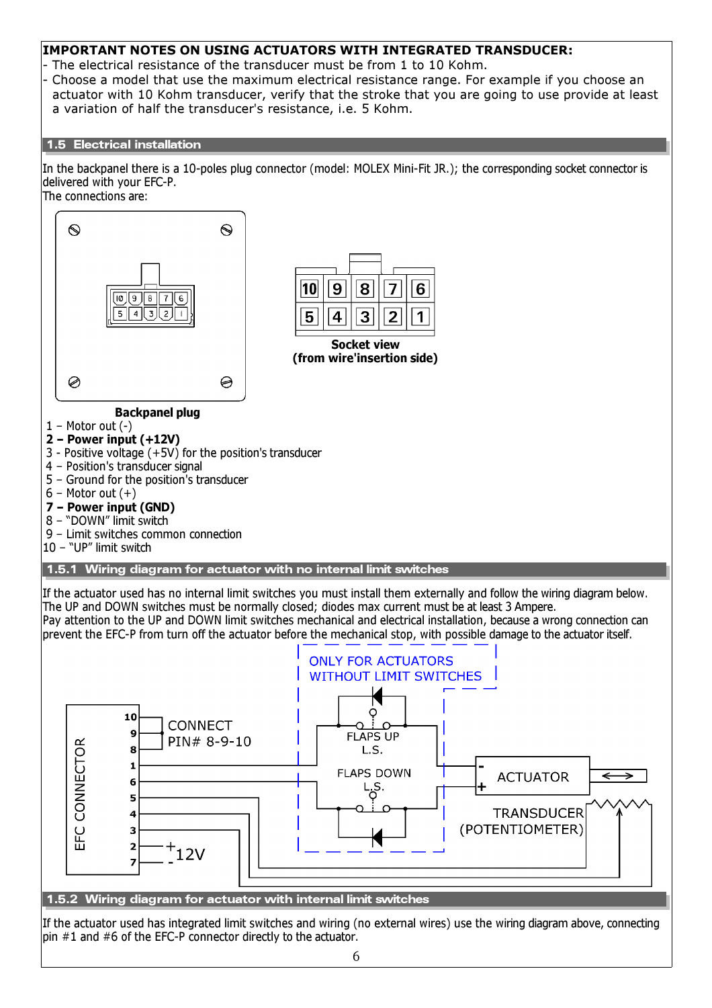## IMPORTANT NOTES ON USING ACTUATORS WITH INTEGRATED TRANSDUCER:

- The electrical resistance of the transducer must be from 1 to 10 Kohm.

- Choose a model that use the maximum electrical resistance range. For example if you choose an actuator with 10 Kohm transducer, verify that the stroke that you are going to use provide at least a variation of half the transducer's resistance, i.e. 5 Kohm.

#### 1.5 Electrical installation

In the backpanel there is a 10-poles plug connector (model: MOLEX Mini-Fit JR.); the corresponding socket connector is delivered with your EFC-P. The connections are:



If the actuator used has integrated limit switches and wiring (no external wires) use the wiring diagram above, connecting pin #1 and #6 of the EFC-P connector directly to the actuator.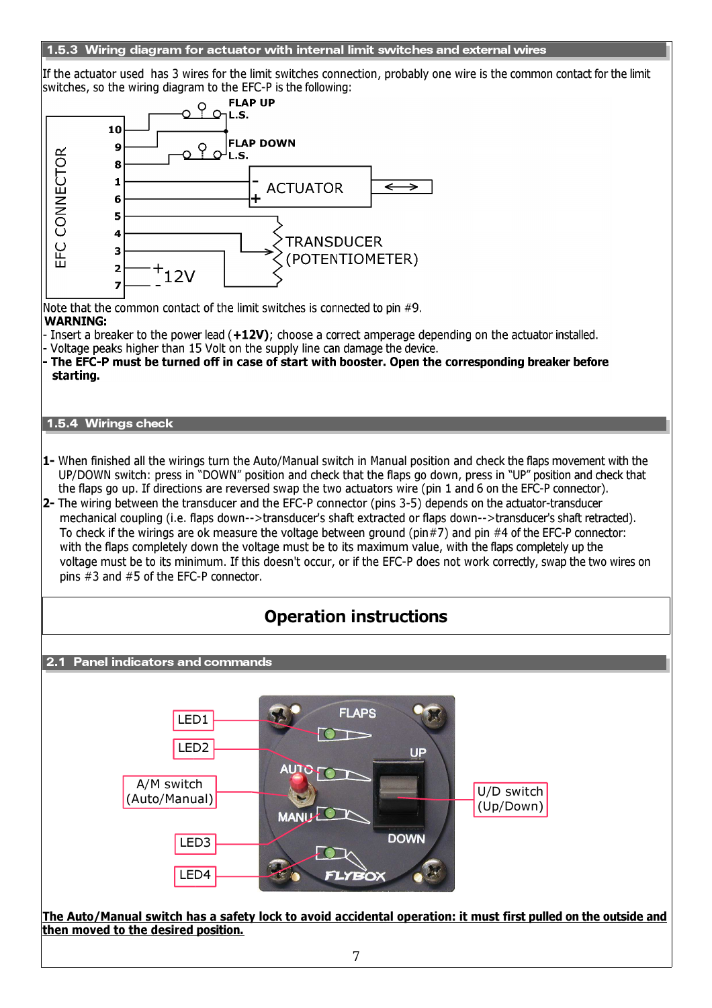#### 1.5.3 Wiring diagram for actuator with internal limit switches and external wires

If the actuator used has 3 wires for the limit switches connection, probably one wire is the common contact for the limit switches, so the wiring diagram to the EFC-P is the following:

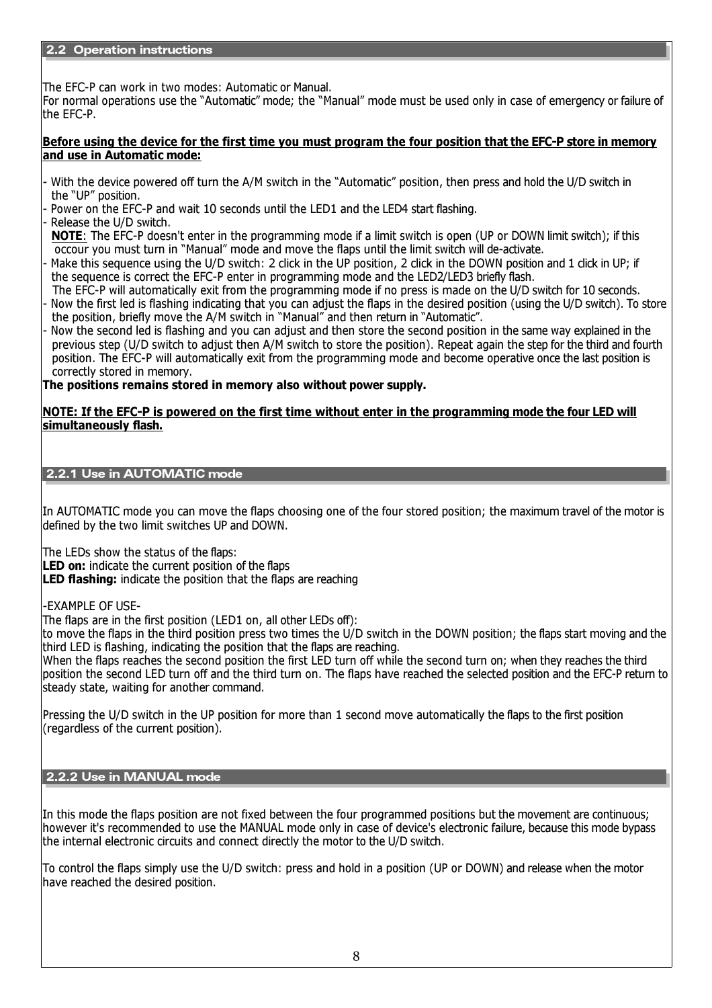The EFC-P can work in two modes: Automatic or Manual.

For normal operations use the "Automatic" mode; the "Manual" mode must be used only in case of emergency or failure of the EFC-P.

### Before using the device for the first time you must program the four position that the EFC-P store in memory and use in Automatic mode:

- With the device powered off turn the A/M switch in the "Automatic" position, then press and hold the U/D switch in the "UP" position.
- Power on the EFC-P and wait 10 seconds until the LED1 and the LED4 start flashing.
- Release the U/D switch.

NOTE: The EFC-P doesn't enter in the programming mode if a limit switch is open (UP or DOWN limit switch); if this occour you must turn in "Manual" mode and move the flaps until the limit switch will de-activate.

- Make this sequence using the U/D switch: 2 click in the UP position, 2 click in the DOWN position and 1 click in UP; if the sequence is correct the EFC-P enter in programming mode and the LED2/LED3 briefly flash.
- The EFC-P will automatically exit from the programming mode if no press is made on the U/D switch for 10 seconds. - Now the first led is flashing indicating that you can adjust the flaps in the desired position (using the U/D switch). To store the position, briefly move the A/M switch in "Manual" and then return in "Automatic".
- Now the second led is flashing and you can adjust and then store the second position in the same way explained in the previous step (U/D switch to adjust then A/M switch to store the position). Repeat again the step for the third and fourth position. The EFC-P will automatically exit from the programming mode and become operative once the last position is correctly stored in memory.

The positions remains stored in memory also without power supply.

### NOTE: If the EFC-P is powered on the first time without enter in the programming mode the four LED will simultaneously flash.

2.2.1 Use in AUTOMATIC mode

In AUTOMATIC mode you can move the flaps choosing one of the four stored position; the maximum travel of the motor is defined by the two limit switches UP and DOWN.

The LEDs show the status of the flaps:

LED on: indicate the current position of the flaps

LED flashing: indicate the position that the flaps are reaching

-EXAMPLE OF USE-

The flaps are in the first position (LED1 on, all other LEDs off):

to move the flaps in the third position press two times the U/D switch in the DOWN position; the flaps start moving and the third LED is flashing, indicating the position that the flaps are reaching.

When the flaps reaches the second position the first LED turn off while the second turn on; when they reaches the third position the second LED turn off and the third turn on. The flaps have reached the selected position and the EFC-P return to steady state, waiting for another command.

Pressing the U/D switch in the UP position for more than 1 second move automatically the flaps to the first position (regardless of the current position).

### 2.2.2 Use in MANUAL mode

In this mode the flaps position are not fixed between the four programmed positions but the movement are continuous; however it's recommended to use the MANUAL mode only in case of device's electronic failure, because this mode bypass the internal electronic circuits and connect directly the motor to the U/D switch.

To control the flaps simply use the U/D switch: press and hold in a position (UP or DOWN) and release when the motor have reached the desired position.